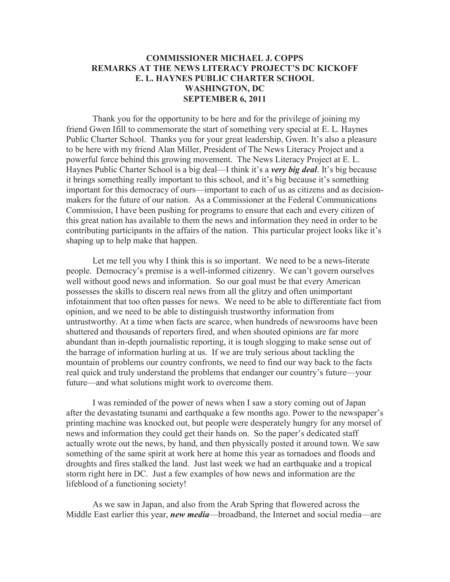## **COMMISSIONER MICHAEL J. COPPS REMARKS AT THE NEWS LITERACY PROJECT'S DC KICKOFF E. L. HAYNES PUBLIC CHARTER SCHOOL WASHINGTON, DC SEPTEMBER 6, 2011**

Thank you for the opportunity to be here and for the privilege of joining my friend Gwen Ifill to commemorate the start of something very special at E. L. Haynes Public Charter School. Thanks you for your great leadership, Gwen. It's also a pleasure to be here with my friend Alan Miller, President of The News Literacy Project and a powerful force behind this growing movement. The News Literacy Project at E. L. Haynes Public Charter School is a big deal—I think it's a *very big deal*. It's big because it brings something really important to this school, and it's big because it's something important for this democracy of ours—important to each of us as citizens and as decisionmakers for the future of our nation. As a Commissioner at the Federal Communications Commission, I have been pushing for programs to ensure that each and every citizen of this great nation has available to them the news and information they need in order to be contributing participants in the affairs of the nation. This particular project looks like it's shaping up to help make that happen.

Let me tell you why I think this is so important. We need to be a news-literate people. Democracy's premise is a well-informed citizenry. We can't govern ourselves well without good news and information. So our goal must be that every American possesses the skills to discern real news from all the glitzy and often unimportant infotainment that too often passes for news. We need to be able to differentiate fact from opinion, and we need to be able to distinguish trustworthy information from untrustworthy. At a time when facts are scarce, when hundreds of newsrooms have been shuttered and thousands of reporters fired, and when shouted opinions are far more abundant than in-depth journalistic reporting, it is tough slogging to make sense out of the barrage of information hurling at us. If we are truly serious about tackling the mountain of problems our country confronts, we need to find our way back to the facts real quick and truly understand the problems that endanger our country's future—your future—and what solutions might work to overcome them.

I was reminded of the power of news when I saw a story coming out of Japan after the devastating tsunami and earthquake a few months ago. Power to the newspaper's printing machine was knocked out, but people were desperately hungry for any morsel of news and information they could get their hands on. So the paper's dedicated staff actually wrote out the news, by hand, and then physically posted it around town. We saw something of the same spirit at work here at home this year as tornadoes and floods and droughts and fires stalked the land. Just last week we had an earthquake and a tropical storm right here in DC. Just a few examples of how news and information are the lifeblood of a functioning society!

As we saw in Japan, and also from the Arab Spring that flowered across the Middle East earlier this year, *new media*—broadband, the Internet and social media—are